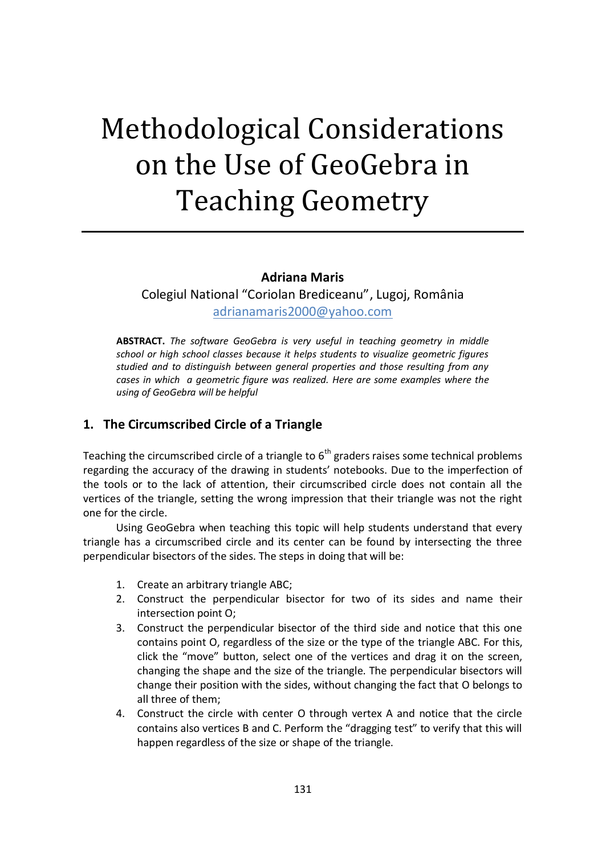# Methodological Considerations on the Use of GeoGebra in Teaching Geometry

#### **Adriana Maris**

Colegiul National "Coriolan Brediceanu", Lugoj, România [adrianamaris2000@yahoo.com](mailto:adrianamaris2000@yahoo.com)

**ABSTRACT.** *The software GeoGebra is very useful in teaching geometry in middle school or high school classes because it helps students to visualize geometric figures studied and to distinguish between general properties and those resulting from any cases in which a geometric figure was realized. Here are some examples where the using of GeoGebra will be helpful*

# **1. The Circumscribed Circle of a Triangle**

Teaching the circumscribed circle of a triangle to  $6<sup>th</sup>$  graders raises some technical problems regarding the accuracy of the drawing in students' notebooks. Due to the imperfection of the tools or to the lack of attention, their circumscribed circle does not contain all the vertices of the triangle, setting the wrong impression that their triangle was not the right one for the circle.

Using GeoGebra when teaching this topic will help students understand that every triangle has a circumscribed circle and its center can be found by intersecting the three perpendicular bisectors of the sides. The steps in doing that will be:

- 1. Create an arbitrary triangle ABC;
- 2. Construct the perpendicular bisector for two of its sides and name their intersection point O;
- 3. Construct the perpendicular bisector of the third side and notice that this one contains point O, regardless of the size or the type of the triangle ABC. For this, click the "move" button, select one of the vertices and drag it on the screen, changing the shape and the size of the triangle. The perpendicular bisectors will change their position with the sides, without changing the fact that O belongs to all three of them;
- 4. Construct the circle with center O through vertex A and notice that the circle contains also vertices B and C. Perform the "dragging test" to verify that this will happen regardless of the size or shape of the triangle.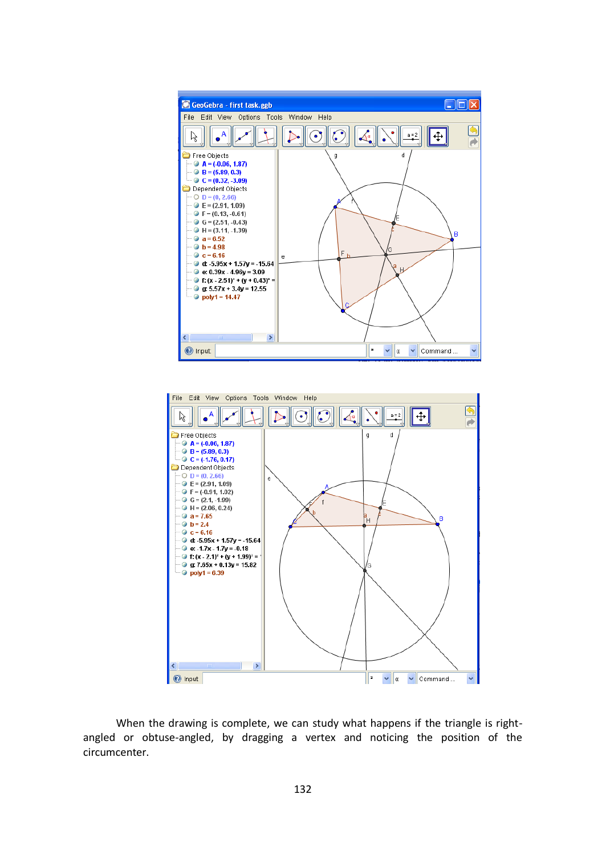



When the drawing is complete, we can study what happens if the triangle is rightangled or obtuse-angled, by dragging a vertex and noticing the position of the circumcenter.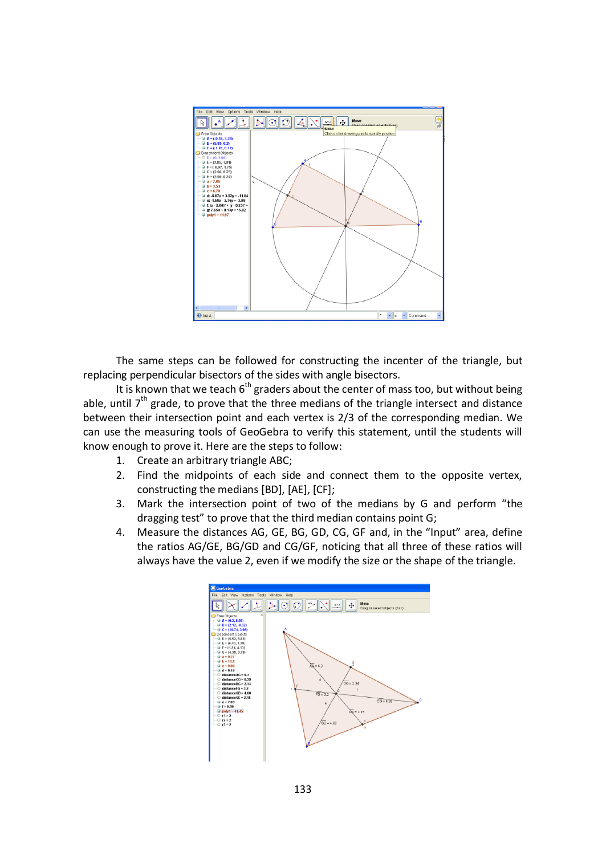

The same steps can be followed for constructing the incenter of the triangle, but replacing perpendicular bisectors of the sides with angle bisectors.

It is known that we teach  $6<sup>th</sup>$  graders about the center of mass too, but without being able, until  $7<sup>th</sup>$  grade, to prove that the three medians of the triangle intersect and distance between their intersection point and each vertex is 2/3 of the corresponding median. We can use the measuring tools of GeoGebra to verify this statement, until the students will know enough to prove it. Here are the steps to follow:

- 1. Create an arbitrary triangle ABC;
- 2. Find the midpoints of each side and connect them to the opposite vertex, constructing the medians [BD], [AE], [CF];
- 3. Mark the intersection point of two of the medians by G and perform "the dragging test" to prove that the third median contains point G;
- 4. Measure the distances AG, GE, BG, GD, CG, GF and, in the "Input" area, define the ratios AG/GE, BG/GD and CG/GF, noticing that all three of these ratios will always have the value 2, even if we modify the size or the shape of the triangle.

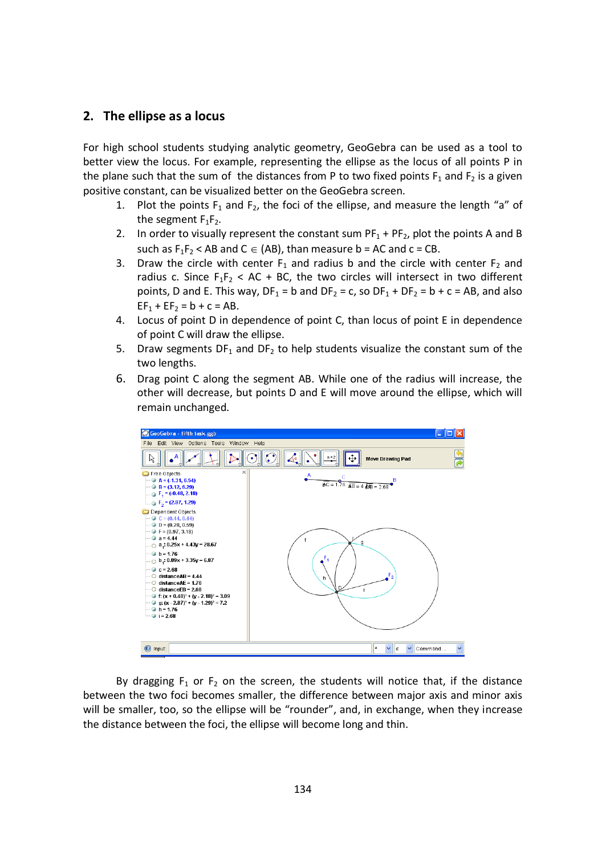### **2. The ellipse as a locus**

For high school students studying analytic geometry, GeoGebra can be used as a tool to better view the locus. For example, representing the ellipse as the locus of all points P in the plane such that the sum of the distances from P to two fixed points  $F_1$  and  $F_2$  is a given positive constant, can be visualized better on the GeoGebra screen.

- 1. Plot the points  $F_1$  and  $F_2$ , the foci of the ellipse, and measure the length "a" of the segment  $F_1F_2$ .
- 2. In order to visually represent the constant sum  $PF_1 + PF_2$ , plot the points A and B such as  $F_1F_2$  < AB and C  $\in$  (AB), than measure b = AC and c = CB.
- 3. Draw the circle with center  $F_1$  and radius b and the circle with center  $F_2$  and radius c. Since  $F_1F_2 < AC + BC$ , the two circles will intersect in two different points, D and E. This way,  $DF_1 = b$  and  $DF_2 = c$ , so  $DF_1 + DF_2 = b + c = AB$ , and also  $EF_1 + EF_2 = b + c = AB$ .
- 4. Locus of point D in dependence of point C, than locus of point E in dependence of point C will draw the ellipse.
- 5. Draw segments  $DF_1$  and  $DF_2$  to help students visualize the constant sum of the two lengths.
- 6. Drag point C along the segment AB. While one of the radius will increase, the other will decrease, but points D and E will move around the ellipse, which will remain unchanged.



By dragging  $F_1$  or  $F_2$  on the screen, the students will notice that, if the distance between the two foci becomes smaller, the difference between major axis and minor axis will be smaller, too, so the ellipse will be "rounder", and, in exchange, when they increase the distance between the foci, the ellipse will become long and thin.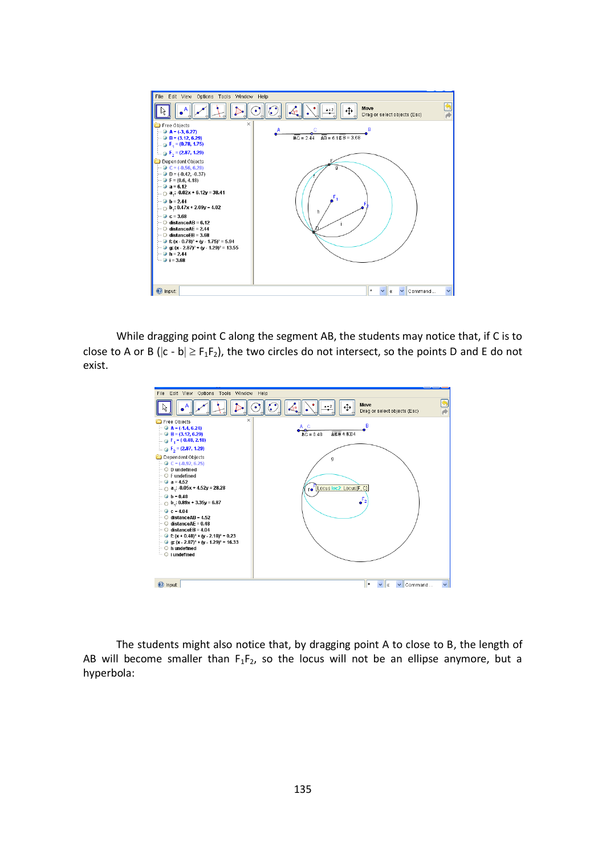

While dragging point C along the segment AB, the students may notice that, if C is to close to A or B ( $|c - b| \ge F_1F_2$ ), the two circles do not intersect, so the points D and E do not exist.



The students might also notice that, by dragging point A to close to B, the length of AB will become smaller than  $F_1F_2$ , so the locus will not be an ellipse anymore, but a hyperbola: